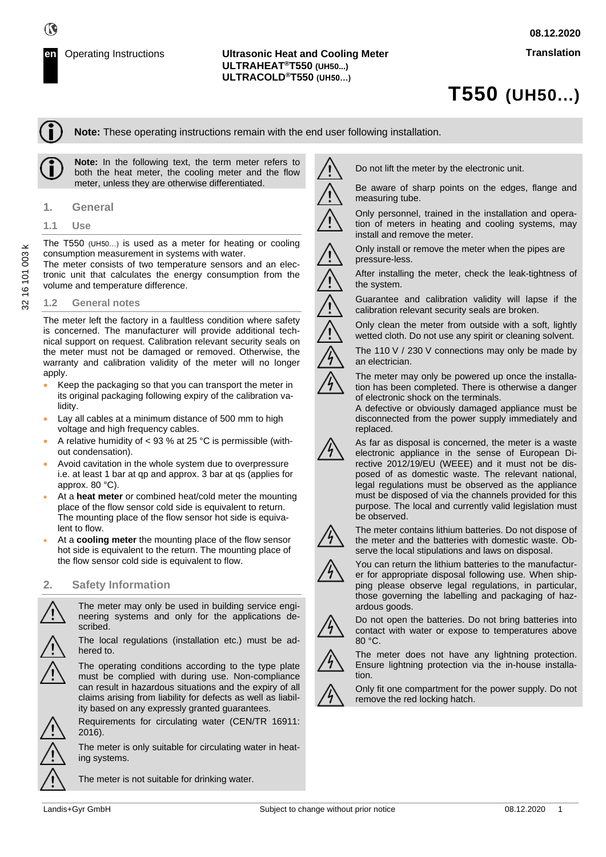# **T550 (UH50...)**

**Note:** These operating instructions remain with the end user following installation.

**Note:** In the following text, the term meter refers to both the heat meter, the cooling meter and the flow meter, unless they are otherwise differentiated.

- **1. General**
- **1.1 Use**

The T550 (UH50…) is used as a meter for heating or cooling consumption measurement in systems with water.

The meter consists of two temperature sensors and an electronic unit that calculates the energy consumption from the volume and temperature difference.

#### **1.2 General notes**

The meter left the factory in a faultless condition where safety is concerned. The manufacturer will provide additional technical support on request. Calibration relevant security seals on the meter must not be damaged or removed. Otherwise, the warranty and calibration validity of the meter will no longer apply.

- Keep the packaging so that you can transport the meter in its original packaging following expiry of the calibration validity.
- Lay all cables at a minimum distance of 500 mm to high voltage and high frequency cables.
- A relative humidity of < 93 % at 25 °C is permissible (without condensation).
- Avoid cavitation in the whole system due to overpressure i.e. at least 1 bar at qp and approx. 3 bar at qs (applies for approx. 80 °C).
- At a **heat meter** or combined heat/cold meter the mounting place of the flow sensor cold side is equivalent to return. The mounting place of the flow sensor hot side is equivalent to flow.
- At a **cooling meter** the mounting place of the flow sensor hot side is equivalent to the return. The mounting place of the flow sensor cold side is equivalent to flow.

#### **2. Safety Information**

The meter may only be used in building service engineering systems and only for the applications described.

The local regulations (installation etc.) must be adhered to.

The operating conditions according to the type plate must be complied with during use. Non-compliance can result in hazardous situations and the expiry of all claims arising from liability for defects as well as liability based on any expressly granted guarantees.

Requirements for circulating water (CEN/TR 16911: 2016).

The meter is only suitable for circulating water in heating systems.

The meter is not suitable for drinking water.

Do not lift the meter by the electronic unit.

Be aware of sharp points on the edges, flange and measuring tube.

Only personnel, trained in the installation and operation of meters in heating and cooling systems, may install and remove the meter.

Only install or remove the meter when the pipes are pressure-less.

After installing the meter, check the leak-tightness of the system.

Guarantee and calibration validity will lapse if the calibration relevant security seals are broken.

Only clean the meter from outside with a soft, lightly wetted cloth. Do not use any spirit or cleaning solvent.

The 110 V / 230 V connections may only be made by

an electrician.

The meter may only be powered up once the installation has been completed. There is otherwise a danger

of electronic shock on the terminals. A defective or obviously damaged appliance must be disconnected from the power supply immediately and replaced.

As far as disposal is concerned, the meter is a waste electronic appliance in the sense of European Directive 2012/19/EU (WEEE) and it must not be disposed of as domestic waste. The relevant national, legal regulations must be observed as the appliance must be disposed of via the channels provided for this purpose. The local and currently valid legislation must be observed.



The meter contains lithium batteries. Do not dispose of the meter and the batteries with domestic waste. Observe the local stipulations and laws on disposal.

You can return the lithium batteries to the manufacturer for appropriate disposal following use. When shipping please observe legal regulations, in particular, those governing the labelling and packaging of hazardous goods.



Do not open the batteries. Do not bring batteries into contact with water or expose to temperatures above 80 °C.



The meter does not have any lightning protection. Ensure lightning protection via the in-house installation.



Only fit one compartment for the power supply. Do not remove the red locking hatch.

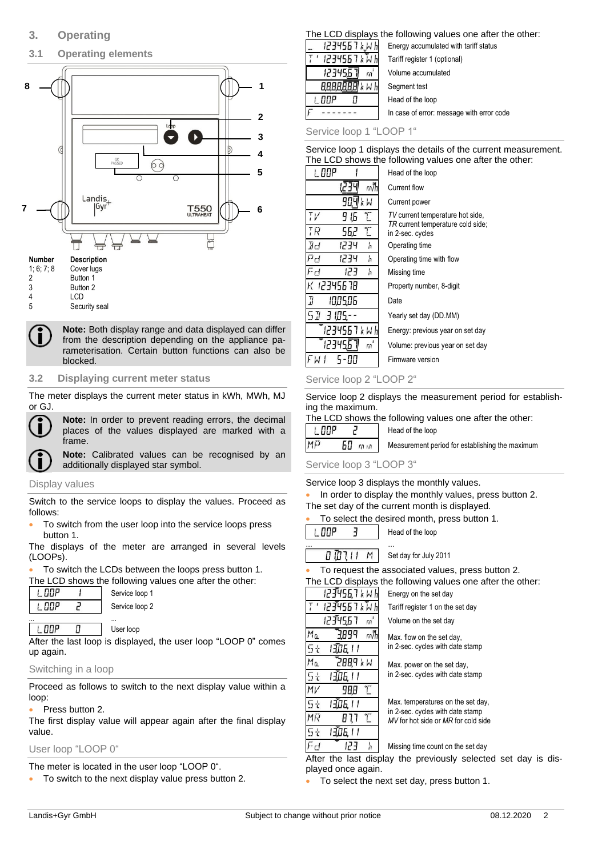### **3.1 Operating elements**



#### **Number Description**

| 1, 6, 7, 8 | Cover lugs |
|------------|------------|
| 2          | Button 1   |
| 3          | Button 2   |
| 4          | LCD        |
|            | 0.         |

5 Security seal

**Note:** Both display range and data displayed can differ from the description depending on the appliance parameterisation. Certain button functions can also be blocked.

#### **3.2 Displaying current meter status**

The meter displays the current meter status in kWh, MWh, MJ or GJ.



**Note:** In order to prevent reading errors, the decimal places of the values displayed are marked with a frame.

**Note:** Calibrated values can be recognised by an additionally displayed star symbol.

#### Display values

Switch to the service loops to display the values. Proceed as follows:

• To switch from the user loop into the service loops press button 1.

The displays of the meter are arranged in several levels (LOOPs).

• To switch the LCDs between the loops press button 1.

|       | The LCD shows the following values one after the other: |
|-------|---------------------------------------------------------|
| I.OOP | Service loop 1                                          |

| - ! ! ! ! ! | Service loop 1 |
|-------------|----------------|
|             | Service loop 2 |
|             |                |

#### **L. DOP** Π User loop

After the last loop is displayed, the user loop "LOOP 0" comes up again.

#### Switching in a loop

Proceed as follows to switch to the next display value within a loop:

#### • Press button 2.

The first display value will appear again after the final display value.

#### User loop "LOOP 0"

The meter is located in the user loop "LOOP 0".

• To switch to the next display value press button 2.

#### The LCD displays the following values one after the other:

| 1234567 kWh    | Energy accumulated with tariff status |
|----------------|---------------------------------------|
| 1234567 k Tv h | Tariff register 1 (optional)          |

| ' 1234567 kWh   | Tariff register 1 (optional)              |
|-----------------|-------------------------------------------|
| 123456<br>$m^2$ | Volume accumulated                        |
| 8888888 k W h   | Segment test                              |
| nnp             | Head of the loop                          |
|                 | In case of error: message with error code |
|                 |                                           |

Service loop 1 "LOOP 1"

Service loop 1 displays the details of the current measurement. The LCD shows the following values one after the other:

| I. OOP                                           | Head of the loop                                      |
|--------------------------------------------------|-------------------------------------------------------|
| т/h                                              | Current flow                                          |
| k W                                              | Current power                                         |
| $\mathcal{T}$<br>9 I.G                           | TV current temperature hot side,                      |
| $\mathcal{T}$<br>ТR<br>56,2                      | TR current temperature cold side;<br>in 2-sec. cycles |
| Ø₫<br>1234<br>h                                  | Operating time                                        |
| эH<br>1234<br>'n                                 | Operating time with flow                              |
| $\mathbb{F}_{\mathsf{r}\mathsf{f}}$<br>בינו<br>h | Missing time                                          |
| HT 329456 78                                     | Property number, 8-digit                              |
| IJ<br>1005.06                                    | Date                                                  |
| 50 B 105.                                        | Yearly set day (DD.MM)                                |
| 1234567 k W h                                    | Energy: previous year on set day                      |
| m                                                | Volume: previous year on set day                      |
|                                                  | Firmware version                                      |

#### Service loop 2 "LOOP 2"

Service loop 2 displays the measurement period for establishing the maximum.

|       | The LCD shows the following values one after the other: |  |
|-------|---------------------------------------------------------|--|
| I NNP | Head of the loop                                        |  |

| $-$ |                     | .                                               |
|-----|---------------------|-------------------------------------------------|
| MFJ | $60$ mm $\parallel$ | Measurement period for establishing the maximum |
|     |                     |                                                 |

#### Service loop 3 "LOOP 3"

#### Service loop 3 displays the monthly values.

In order to display the monthly values, press button 2. The set day of the current month is displayed.

| To select the desired month, press button 1. |  |  |  |
|----------------------------------------------|--|--|--|
|                                              |  |  |  |

I. OOP  $\exists$ Head of the loop

… … **מ הורשם** Set day for July 2011

To request the associated values, press button 2.

The LCD displays the following values one after the other:

123456,7 k W H Energy on the set day 1234567 kWI Tariff register 1 on the set day 12345.67 Volume on the set day  $\mathfrak{m}$ Mα 9899 州 Max. flow on the set day, in 2-sec. cycles with date stamp 5t 1306. I I Mα **N X PBBS** Max. power on the set day, in 2-sec. cycles with date stamp  $\mathsf{G}\downarrow$ । अँग्रेज । । MV 988 L Max. temperatures on the set day, 5ł । अँग्रह, । । in 2-sec. cycles with date stamp MR  $B<sub>1</sub>$ T *MV* for hot side or *MR* for cold side  $5t$ । अप्रैंट । ।

> 'n Missing time count on the set day

After the last display the previously selected set day is displayed once again.

• To select the next set day, press button 1.

Fd

123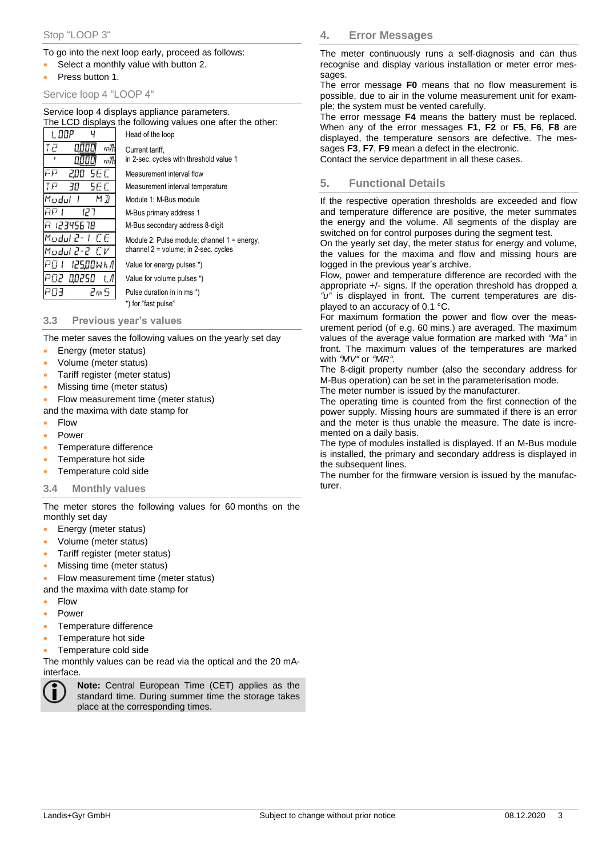#### To go into the next loop early, proceed as follows:

- Select a monthly value with button 2.
- Press button 1.

#### Service loop 4 "LOOP 4"

Service loop 4 displays appliance parameters. The LCD displays the following values one after the other:

|                   | Fire LCD displays the following values one after the other. |
|-------------------|-------------------------------------------------------------|
| 1. DDP            | Head of the loop                                            |
| ק ד<br>m/h        | Current tariff.                                             |
| m/h               | in 2-sec. cycles with threshold value 1                     |
| FP<br>5E C<br>200 | Measurement interval flow                                   |
| ΤP<br>5F F<br>30  | Measurement interval temperature                            |
| Madul<br>МĦ       | Module 1: M-Bus module                                      |
| AP 1<br>ר קן      | M-Bus primary address 1                                     |
| A 12345678        | M-Bus secondary address 8-digit                             |
| Modul 2- L.C.E.   | Module 2: Pulse module; channel $1 =$ energy,               |
| Modul 2-2 CV      | channel 2 = volume; in 2-sec. cycles                        |
| PN 1<br>12500WH/I | Value for energy pulses *)                                  |
| PO2 00250         | Value for volume pulses *)                                  |
| PNE<br>2m S       | Pulse duration in in ms *)                                  |
|                   | *) for "fast pulse"                                         |
|                   |                                                             |

**3.3 Previous year's values**

The meter saves the following values on the yearly set day

- Energy (meter status)
- Volume (meter status)
- Tariff register (meter status)
- Missing time (meter status)
- Flow measurement time (meter status)
- and the maxima with date stamp for
- Flow
- Power
- Temperature difference
- Temperature hot side
- Temperature cold side

#### **3.4 Monthly values**

The meter stores the following values for 60 months on the monthly set day

- Energy (meter status)
- Volume (meter status)
- Tariff register (meter status)
- Missing time (meter status)
- Flow measurement time (meter status)
- and the maxima with date stamp for
- Flow
- Power
- Temperature difference
- Temperature hot side
- Temperature cold side

The monthly values can be read via the optical and the 20 mAinterface.



**Note:** Central European Time (CET) applies as the standard time. During summer time the storage takes place at the corresponding times.

**4. Error Messages**

The meter continuously runs a self-diagnosis and can thus recognise and display various installation or meter error messages.

The error message **F0** means that no flow measurement is possible, due to air in the volume measurement unit for example; the system must be vented carefully.

The error message **F4** means the battery must be replaced. When any of the error messages **F1**, **F2** or **F5**, **F6**, **F8** are displayed, the temperature sensors are defective. The messages **F3**, **F7**, **F9** mean a defect in the electronic.

Contact the service department in all these cases.

#### **5. Functional Details**

If the respective operation thresholds are exceeded and flow and temperature difference are positive, the meter summates the energy and the volume. All segments of the display are switched on for control purposes during the segment test.

On the yearly set day, the meter status for energy and volume, the values for the maxima and flow and missing hours are logged in the previous year's archive.

Flow, power and temperature difference are recorded with the appropriate +/- signs. If the operation threshold has dropped a *"u"* is displayed in front. The current temperatures are displayed to an accuracy of 0.1 °C.

For maximum formation the power and flow over the measurement period (of e.g. 60 mins.) are averaged. The maximum values of the average value formation are marked with *"Ma"* in front. The maximum values of the temperatures are marked with *"MV"* or *"MR"*.

The 8-digit property number (also the secondary address for M-Bus operation) can be set in the parameterisation mode.

The meter number is issued by the manufacturer.

The operating time is counted from the first connection of the power supply. Missing hours are summated if there is an error and the meter is thus unable the measure. The date is incremented on a daily basis.

The type of modules installed is displayed. If an M-Bus module is installed, the primary and secondary address is displayed in the subsequent lines.

The number for the firmware version is issued by the manufacturer.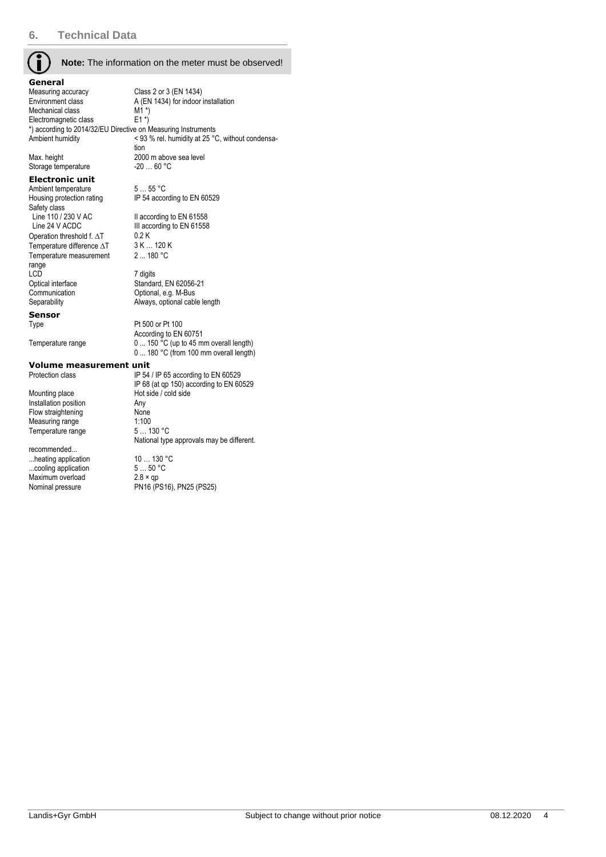#### **Note:** The information on the meter must be observed!

IP 54 according to EN 60529

III according to EN 61558<br>0.2 K

Standard, EN 62056-21

According to EN 60751

2 ... 180 °C

| General                                                       |                                                  |
|---------------------------------------------------------------|--------------------------------------------------|
| Measuring accuracy                                            | Class 2 or 3 (EN 1434)                           |
| Environment class                                             | A (EN 1434) for indoor installation              |
| Mechanical class                                              | $M1^*$                                           |
| Electromagnetic class                                         | $E1^*$                                           |
| *) according to 2014/32/EU Directive on Measuring Instruments |                                                  |
| Ambient humidity                                              | < 93 % rel. humidity at 25 °C, without condensa- |
|                                                               | tion                                             |
| Max. height                                                   | 2000 m above sea level                           |
| Storage temperature                                           | $-2060 °C$                                       |
| Eloctronic unit                                               |                                                  |

#### **Electronic unit**

Ambient temperature 5 ... 55 °C<br>Housing protection rating IP 54 acco Safety class<br>Line 110 / 230 V AC Line 110 / 230 V AC II according to EN 61558<br>
Line 24 V ACDC III according to EN 61558 Operation threshold f.  $\Delta T$  0.2 K<br>Temperature difference  $\Delta T$  3 K ... 120 K Temperature difference  $\Delta T$ Temperature measurement range<br>LCD LCD<br>
Optical interface<br>
Standar Communication Optional, e.g. M-Bus Separability **Always**, optional cable length

**Sensor**

Type Pt 500 or Pt 100

Temperature range 0 ... 150 °C (up to 45 mm overall length)

0 ... 180 °C (from 100 mm overall length)

**Volume measurement unit**<br>Protection class Protection

Mounting place Hot side / cold side<br>Installation position Any Installation position and Any<br>
Flow straightening Mone Flow straightening None<br>Measuring range 1:100 Measuring range 1:100<br>Temperature range 5... 130 °C Temperature range

recommended... ...heating application 10 ... 130 °C<br>
...cooling application 5 ... 50 °C ...cooling application  $5...50$  °<br>Maximum overload  $2.8 \times$  qp Maximum overload<br>Nominal pressure

IP 54 / IP 65 according to EN 60529 IP 68 (at qp 150) according to EN 60529 National type approvals may be different.

 $P$ N16 (PS16), PN25 (PS25)